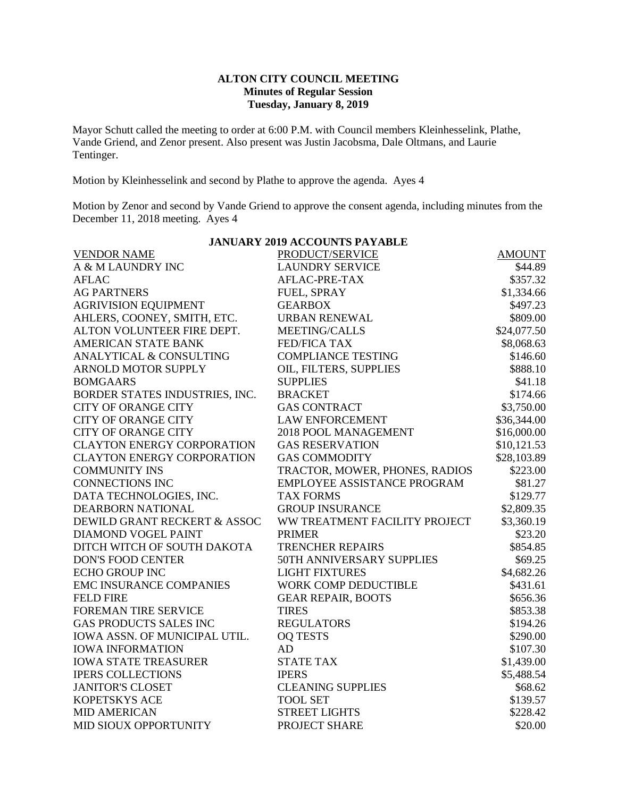## **ALTON CITY COUNCIL MEETING Minutes of Regular Session Tuesday, January 8, 2019**

Mayor Schutt called the meeting to order at 6:00 P.M. with Council members Kleinhesselink, Plathe, Vande Griend, and Zenor present. Also present was Justin Jacobsma, Dale Oltmans, and Laurie Tentinger.

Motion by Kleinhesselink and second by Plathe to approve the agenda. Ayes 4

Motion by Zenor and second by Vande Griend to approve the consent agenda, including minutes from the December 11, 2018 meeting. Ayes 4

| <b>JANUARY 2019 ACCOUNTS PAYABLE</b> |                                |               |  |  |  |
|--------------------------------------|--------------------------------|---------------|--|--|--|
| <b>VENDOR NAME</b>                   | PRODUCT/SERVICE                | <b>AMOUNT</b> |  |  |  |
| A & M LAUNDRY INC                    | <b>LAUNDRY SERVICE</b>         | \$44.89       |  |  |  |
| <b>AFLAC</b>                         | AFLAC-PRE-TAX                  | \$357.32      |  |  |  |
| <b>AG PARTNERS</b>                   | FUEL, SPRAY                    | \$1,334.66    |  |  |  |
| <b>AGRIVISION EQUIPMENT</b>          | <b>GEARBOX</b>                 | \$497.23      |  |  |  |
| AHLERS, COONEY, SMITH, ETC.          | <b>URBAN RENEWAL</b>           | \$809.00      |  |  |  |
| ALTON VOLUNTEER FIRE DEPT.           | MEETING/CALLS                  | \$24,077.50   |  |  |  |
| <b>AMERICAN STATE BANK</b>           | <b>FED/FICA TAX</b>            | \$8,068.63    |  |  |  |
| ANALYTICAL & CONSULTING              | <b>COMPLIANCE TESTING</b>      | \$146.60      |  |  |  |
| ARNOLD MOTOR SUPPLY                  | OIL, FILTERS, SUPPLIES         | \$888.10      |  |  |  |
| <b>BOMGAARS</b>                      | <b>SUPPLIES</b>                | \$41.18       |  |  |  |
| BORDER STATES INDUSTRIES, INC.       | <b>BRACKET</b>                 | \$174.66      |  |  |  |
| <b>CITY OF ORANGE CITY</b>           | <b>GAS CONTRACT</b>            | \$3,750.00    |  |  |  |
| <b>CITY OF ORANGE CITY</b>           | <b>LAW ENFORCEMENT</b>         | \$36,344.00   |  |  |  |
| <b>CITY OF ORANGE CITY</b>           | 2018 POOL MANAGEMENT           | \$16,000.00   |  |  |  |
| <b>CLAYTON ENERGY CORPORATION</b>    | <b>GAS RESERVATION</b>         | \$10,121.53   |  |  |  |
| <b>CLAYTON ENERGY CORPORATION</b>    | <b>GAS COMMODITY</b>           | \$28,103.89   |  |  |  |
| <b>COMMUNITY INS</b>                 | TRACTOR, MOWER, PHONES, RADIOS | \$223.00      |  |  |  |
| <b>CONNECTIONS INC</b>               | EMPLOYEE ASSISTANCE PROGRAM    | \$81.27       |  |  |  |
| DATA TECHNOLOGIES, INC.              | <b>TAX FORMS</b>               | \$129.77      |  |  |  |
| DEARBORN NATIONAL                    | <b>GROUP INSURANCE</b>         | \$2,809.35    |  |  |  |
| DEWILD GRANT RECKERT & ASSOC         | WW TREATMENT FACILITY PROJECT  | \$3,360.19    |  |  |  |
| <b>DIAMOND VOGEL PAINT</b>           | <b>PRIMER</b>                  | \$23.20       |  |  |  |
| DITCH WITCH OF SOUTH DAKOTA          | <b>TRENCHER REPAIRS</b>        | \$854.85      |  |  |  |
| <b>DON'S FOOD CENTER</b>             | 50TH ANNIVERSARY SUPPLIES      | \$69.25       |  |  |  |
| <b>ECHO GROUP INC</b>                | <b>LIGHT FIXTURES</b>          | \$4,682.26    |  |  |  |
| <b>EMC INSURANCE COMPANIES</b>       | WORK COMP DEDUCTIBLE           | \$431.61      |  |  |  |
| <b>FELD FIRE</b>                     | <b>GEAR REPAIR, BOOTS</b>      | \$656.36      |  |  |  |
| FOREMAN TIRE SERVICE                 | <b>TIRES</b>                   | \$853.38      |  |  |  |
| <b>GAS PRODUCTS SALES INC</b>        | <b>REGULATORS</b>              | \$194.26      |  |  |  |
| IOWA ASSN. OF MUNICIPAL UTIL.        | <b>OQ TESTS</b>                | \$290.00      |  |  |  |
| <b>IOWA INFORMATION</b>              | AD                             | \$107.30      |  |  |  |
| <b>IOWA STATE TREASURER</b>          | <b>STATE TAX</b>               | \$1,439.00    |  |  |  |
| <b>IPERS COLLECTIONS</b>             | <b>IPERS</b>                   | \$5,488.54    |  |  |  |
| <b>JANITOR'S CLOSET</b>              | <b>CLEANING SUPPLIES</b>       | \$68.62       |  |  |  |
| <b>KOPETSKYS ACE</b>                 | <b>TOOL SET</b>                | \$139.57      |  |  |  |
| <b>MID AMERICAN</b>                  | <b>STREET LIGHTS</b>           | \$228.42      |  |  |  |
| MID SIOUX OPPORTUNITY                | PROJECT SHARE                  | \$20.00       |  |  |  |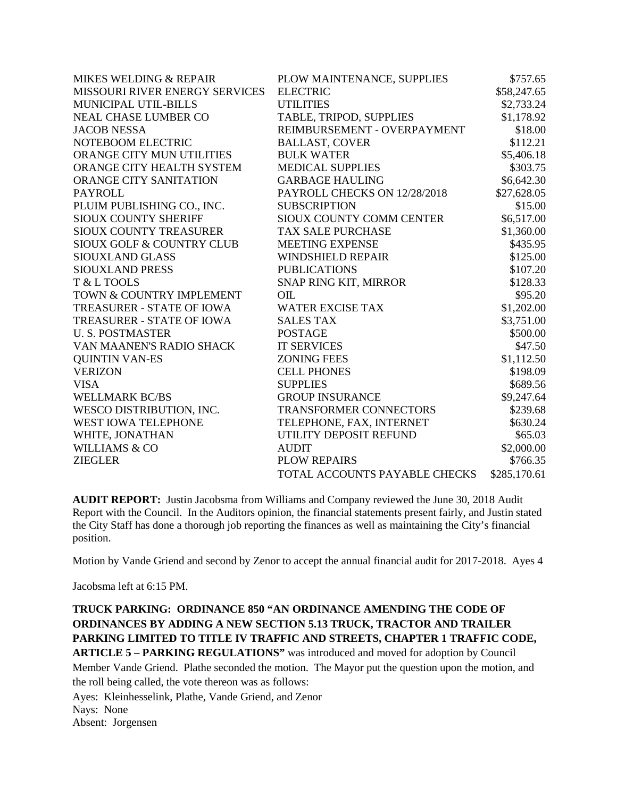| <b>MIKES WELDING &amp; REPAIR</b>    | PLOW MAINTENANCE, SUPPLIES    | \$757.65     |
|--------------------------------------|-------------------------------|--------------|
| MISSOURI RIVER ENERGY SERVICES       | <b>ELECTRIC</b>               | \$58,247.65  |
| MUNICIPAL UTIL-BILLS                 | <b>UTILITIES</b>              | \$2,733.24   |
| <b>NEAL CHASE LUMBER CO</b>          | TABLE, TRIPOD, SUPPLIES       | \$1,178.92   |
| <b>JACOB NESSA</b>                   | REIMBURSEMENT - OVERPAYMENT   | \$18.00      |
| NOTEBOOM ELECTRIC                    | <b>BALLAST, COVER</b>         | \$112.21     |
| ORANGE CITY MUN UTILITIES            | <b>BULK WATER</b>             | \$5,406.18   |
| ORANGE CITY HEALTH SYSTEM            | <b>MEDICAL SUPPLIES</b>       | \$303.75     |
| <b>ORANGE CITY SANITATION</b>        | <b>GARBAGE HAULING</b>        | \$6,642.30   |
| <b>PAYROLL</b>                       | PAYROLL CHECKS ON 12/28/2018  | \$27,628.05  |
| PLUIM PUBLISHING CO., INC.           | <b>SUBSCRIPTION</b>           | \$15.00      |
| <b>SIOUX COUNTY SHERIFF</b>          | SIOUX COUNTY COMM CENTER      | \$6,517.00   |
| <b>SIOUX COUNTY TREASURER</b>        | <b>TAX SALE PURCHASE</b>      | \$1,360.00   |
| <b>SIOUX GOLF &amp; COUNTRY CLUB</b> | <b>MEETING EXPENSE</b>        | \$435.95     |
| SIOUXLAND GLASS                      | <b>WINDSHIELD REPAIR</b>      | \$125.00     |
| <b>SIOUXLAND PRESS</b>               | <b>PUBLICATIONS</b>           | \$107.20     |
| T & L TOOLS                          | SNAP RING KIT, MIRROR         | \$128.33     |
| TOWN & COUNTRY IMPLEMENT             | OIL                           | \$95.20      |
| <b>TREASURER - STATE OF IOWA</b>     | <b>WATER EXCISE TAX</b>       | \$1,202.00   |
| TREASURER - STATE OF IOWA            | <b>SALES TAX</b>              | \$3,751.00   |
| <b>U.S. POSTMASTER</b>               | <b>POSTAGE</b>                | \$500.00     |
| VAN MAANEN'S RADIO SHACK             | <b>IT SERVICES</b>            | \$47.50      |
| <b>QUINTIN VAN-ES</b>                | <b>ZONING FEES</b>            | \$1,112.50   |
| <b>VERIZON</b>                       | <b>CELL PHONES</b>            | \$198.09     |
| <b>VISA</b>                          | <b>SUPPLIES</b>               | \$689.56     |
| <b>WELLMARK BC/BS</b>                | <b>GROUP INSURANCE</b>        | \$9,247.64   |
| WESCO DISTRIBUTION, INC.             | <b>TRANSFORMER CONNECTORS</b> | \$239.68     |
| WEST IOWA TELEPHONE                  | TELEPHONE, FAX, INTERNET      | \$630.24     |
| WHITE, JONATHAN                      | UTILITY DEPOSIT REFUND        | \$65.03      |
| <b>WILLIAMS &amp; CO</b>             | <b>AUDIT</b>                  | \$2,000.00   |
| <b>ZIEGLER</b>                       | <b>PLOW REPAIRS</b>           | \$766.35     |
|                                      | TOTAL ACCOUNTS PAYABLE CHECKS | \$285,170.61 |

**AUDIT REPORT:** Justin Jacobsma from Williams and Company reviewed the June 30, 2018 Audit Report with the Council. In the Auditors opinion, the financial statements present fairly, and Justin stated the City Staff has done a thorough job reporting the finances as well as maintaining the City's financial position.

Motion by Vande Griend and second by Zenor to accept the annual financial audit for 2017-2018. Ayes 4

Jacobsma left at 6:15 PM.

**TRUCK PARKING: ORDINANCE 850 "AN ORDINANCE AMENDING THE CODE OF ORDINANCES BY ADDING A NEW SECTION 5.13 TRUCK, TRACTOR AND TRAILER PARKING LIMITED TO TITLE IV TRAFFIC AND STREETS, CHAPTER 1 TRAFFIC CODE, ARTICLE 5 – PARKING REGULATIONS"** was introduced and moved for adoption by Council Member Vande Griend. Plathe seconded the motion. The Mayor put the question upon the motion, and the roll being called, the vote thereon was as follows: Ayes: Kleinhesselink, Plathe, Vande Griend, and Zenor Nays: None Absent: Jorgensen